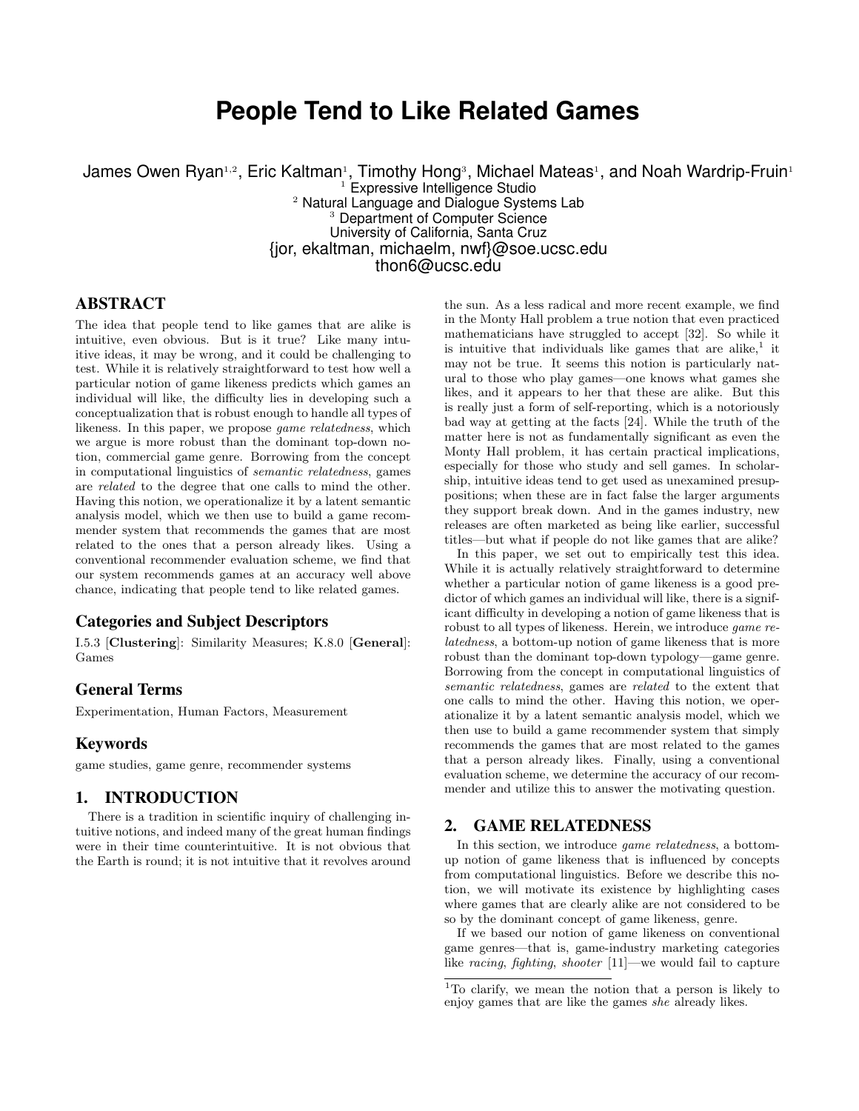# **People Tend to Like Related Games**

James Owen Ryan1,2, Eric Kaltman1, Timothy Hong3, Michael Mateas1, and Noah Wardrip-Fruin1 <sup>1</sup> Expressive Intelligence Studio <sup>2</sup> Natural Language and Dialogue Systems Lab <sup>3</sup> Department of Computer Science University of California, Santa Cruz {jor, ekaltman, michaelm, nwf}@soe.ucsc.edu thon6@ucsc.edu

# ABSTRACT

The idea that people tend to like games that are alike is intuitive, even obvious. But is it true? Like many intuitive ideas, it may be wrong, and it could be challenging to test. While it is relatively straightforward to test how well a particular notion of game likeness predicts which games an individual will like, the difficulty lies in developing such a conceptualization that is robust enough to handle all types of likeness. In this paper, we propose game relatedness, which we argue is more robust than the dominant top-down notion, commercial game genre. Borrowing from the concept in computational linguistics of semantic relatedness, games are related to the degree that one calls to mind the other. Having this notion, we operationalize it by a latent semantic analysis model, which we then use to build a game recommender system that recommends the games that are most related to the ones that a person already likes. Using a conventional recommender evaluation scheme, we find that our system recommends games at an accuracy well above chance, indicating that people tend to like related games.

## Categories and Subject Descriptors

I.5.3 [Clustering]: Similarity Measures; K.8.0 [General]: Games

# General Terms

Experimentation, Human Factors, Measurement

## Keywords

game studies, game genre, recommender systems

# 1. INTRODUCTION

There is a tradition in scientific inquiry of challenging intuitive notions, and indeed many of the great human findings were in their time counterintuitive. It is not obvious that the Earth is round; it is not intuitive that it revolves around

the sun. As a less radical and more recent example, we find in the Monty Hall problem a true notion that even practiced mathematicians have struggled to accept [32]. So while it is intuitive that individuals like games that are alike, $<sup>1</sup>$  it</sup> may not be true. It seems this notion is particularly natural to those who play games—one knows what games she likes, and it appears to her that these are alike. But this is really just a form of self-reporting, which is a notoriously bad way at getting at the facts [24]. While the truth of the matter here is not as fundamentally significant as even the Monty Hall problem, it has certain practical implications, especially for those who study and sell games. In scholarship, intuitive ideas tend to get used as unexamined presuppositions; when these are in fact false the larger arguments they support break down. And in the games industry, new releases are often marketed as being like earlier, successful titles—but what if people do not like games that are alike?

In this paper, we set out to empirically test this idea. While it is actually relatively straightforward to determine whether a particular notion of game likeness is a good predictor of which games an individual will like, there is a significant difficulty in developing a notion of game likeness that is robust to all types of likeness. Herein, we introduce game relatedness, a bottom-up notion of game likeness that is more robust than the dominant top-down typology—game genre. Borrowing from the concept in computational linguistics of semantic relatedness, games are related to the extent that one calls to mind the other. Having this notion, we operationalize it by a latent semantic analysis model, which we then use to build a game recommender system that simply recommends the games that are most related to the games that a person already likes. Finally, using a conventional evaluation scheme, we determine the accuracy of our recommender and utilize this to answer the motivating question.

## 2. GAME RELATEDNESS

In this section, we introduce *game relatedness*, a bottomup notion of game likeness that is influenced by concepts from computational linguistics. Before we describe this notion, we will motivate its existence by highlighting cases where games that are clearly alike are not considered to be so by the dominant concept of game likeness, genre.

If we based our notion of game likeness on conventional game genres—that is, game-industry marketing categories like racing, fighting, shooter [11]—we would fail to capture

<sup>1</sup>To clarify, we mean the notion that a person is likely to enjoy games that are like the games she already likes.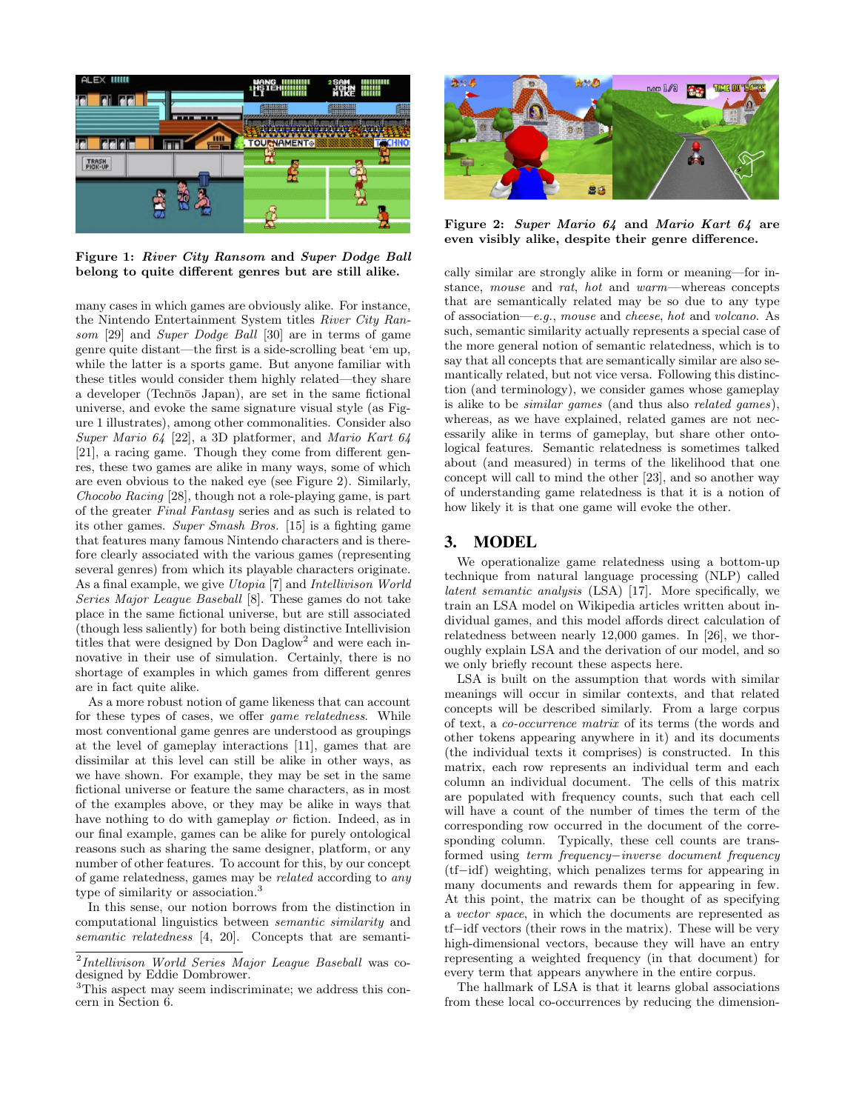

Figure 1: River City Ransom and Super Dodge Ball belong to quite different genres but are still alike.

many cases in which games are obviously alike. For instance, the Nintendo Entertainment System titles River City Ransom [29] and Super Dodge Ball [30] are in terms of game genre quite distant—the first is a side-scrolling beat 'em up, while the latter is a sports game. But anyone familiar with these titles would consider them highly related—they share a developer (Technōs Japan), are set in the same fictional universe, and evoke the same signature visual style (as Figure 1 illustrates), among other commonalities. Consider also Super Mario 64 [22], a 3D platformer, and Mario Kart 64 [21], a racing game. Though they come from different genres, these two games are alike in many ways, some of which are even obvious to the naked eye (see Figure 2). Similarly, Chocobo Racing [28], though not a role-playing game, is part of the greater Final Fantasy series and as such is related to its other games. Super Smash Bros. [15] is a fighting game that features many famous Nintendo characters and is therefore clearly associated with the various games (representing several genres) from which its playable characters originate. As a final example, we give Utopia [7] and Intellivison World Series Major League Baseball [8]. These games do not take place in the same fictional universe, but are still associated (though less saliently) for both being distinctive Intellivision titles that were designed by Don Daglow<sup>2</sup> and were each innovative in their use of simulation. Certainly, there is no shortage of examples in which games from different genres are in fact quite alike.

As a more robust notion of game likeness that can account for these types of cases, we offer game relatedness. While most conventional game genres are understood as groupings at the level of gameplay interactions [11], games that are dissimilar at this level can still be alike in other ways, as we have shown. For example, they may be set in the same fictional universe or feature the same characters, as in most of the examples above, or they may be alike in ways that have nothing to do with gameplay or fiction. Indeed, as in our final example, games can be alike for purely ontological reasons such as sharing the same designer, platform, or any number of other features. To account for this, by our concept of game relatedness, games may be related according to any type of similarity or association.<sup>3</sup>

In this sense, our notion borrows from the distinction in computational linguistics between semantic similarity and semantic relatedness [4, 20]. Concepts that are semanti-



Figure 2: Super Mario 64 and Mario Kart 64 are even visibly alike, despite their genre difference.

cally similar are strongly alike in form or meaning—for instance, mouse and rat, hot and warm—whereas concepts that are semantically related may be so due to any type of association—e.g., mouse and cheese, hot and volcano. As such, semantic similarity actually represents a special case of the more general notion of semantic relatedness, which is to say that all concepts that are semantically similar are also semantically related, but not vice versa. Following this distinction (and terminology), we consider games whose gameplay is alike to be similar games (and thus also related games), whereas, as we have explained, related games are not necessarily alike in terms of gameplay, but share other ontological features. Semantic relatedness is sometimes talked about (and measured) in terms of the likelihood that one concept will call to mind the other [23], and so another way of understanding game relatedness is that it is a notion of how likely it is that one game will evoke the other.

# 3. MODEL

We operationalize game relatedness using a bottom-up technique from natural language processing (NLP) called latent semantic analysis (LSA) [17]. More specifically, we train an LSA model on Wikipedia articles written about individual games, and this model affords direct calculation of relatedness between nearly 12,000 games. In [26], we thoroughly explain LSA and the derivation of our model, and so we only briefly recount these aspects here.

LSA is built on the assumption that words with similar meanings will occur in similar contexts, and that related concepts will be described similarly. From a large corpus of text, a co-occurrence matrix of its terms (the words and other tokens appearing anywhere in it) and its documents (the individual texts it comprises) is constructed. In this matrix, each row represents an individual term and each column an individual document. The cells of this matrix are populated with frequency counts, such that each cell will have a count of the number of times the term of the corresponding row occurred in the document of the corresponding column. Typically, these cell counts are transformed using term frequency−inverse document frequency (tf−idf) weighting, which penalizes terms for appearing in many documents and rewards them for appearing in few. At this point, the matrix can be thought of as specifying a vector space, in which the documents are represented as tf−idf vectors (their rows in the matrix). These will be very high-dimensional vectors, because they will have an entry representing a weighted frequency (in that document) for every term that appears anywhere in the entire corpus.

The hallmark of LSA is that it learns global associations from these local co-occurrences by reducing the dimension-

<sup>&</sup>lt;sup>2</sup>Intellivison World Series Major League Baseball was codesigned by Eddie Dombrower.

<sup>3</sup>This aspect may seem indiscriminate; we address this concern in Section 6.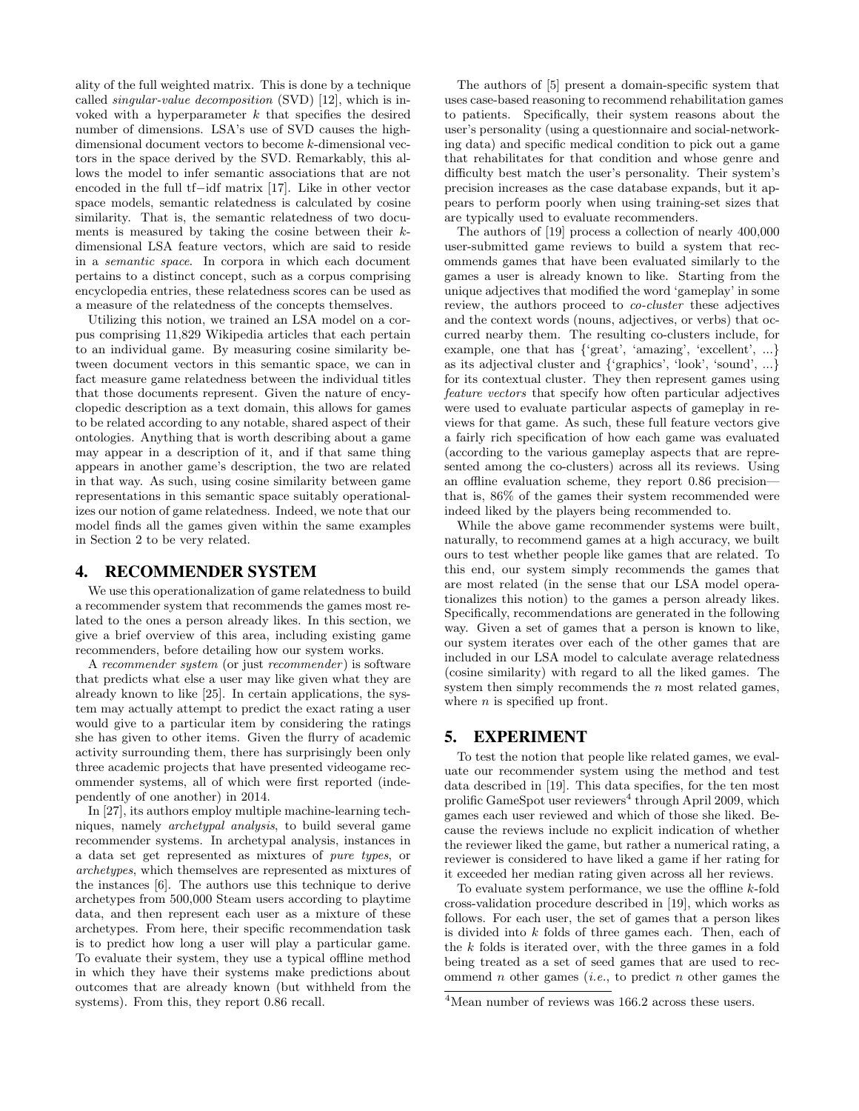ality of the full weighted matrix. This is done by a technique called singular-value decomposition (SVD) [12], which is invoked with a hyperparameter  $k$  that specifies the desired number of dimensions. LSA's use of SVD causes the highdimensional document vectors to become k-dimensional vectors in the space derived by the SVD. Remarkably, this allows the model to infer semantic associations that are not encoded in the full tf−idf matrix [17]. Like in other vector space models, semantic relatedness is calculated by cosine similarity. That is, the semantic relatedness of two documents is measured by taking the cosine between their  $k$ dimensional LSA feature vectors, which are said to reside in a semantic space. In corpora in which each document pertains to a distinct concept, such as a corpus comprising encyclopedia entries, these relatedness scores can be used as a measure of the relatedness of the concepts themselves.

Utilizing this notion, we trained an LSA model on a corpus comprising 11,829 Wikipedia articles that each pertain to an individual game. By measuring cosine similarity between document vectors in this semantic space, we can in fact measure game relatedness between the individual titles that those documents represent. Given the nature of encyclopedic description as a text domain, this allows for games to be related according to any notable, shared aspect of their ontologies. Anything that is worth describing about a game may appear in a description of it, and if that same thing appears in another game's description, the two are related in that way. As such, using cosine similarity between game representations in this semantic space suitably operationalizes our notion of game relatedness. Indeed, we note that our model finds all the games given within the same examples in Section 2 to be very related.

## 4. RECOMMENDER SYSTEM

We use this operationalization of game relatedness to build a recommender system that recommends the games most related to the ones a person already likes. In this section, we give a brief overview of this area, including existing game recommenders, before detailing how our system works.

A recommender system (or just recommender) is software that predicts what else a user may like given what they are already known to like [25]. In certain applications, the system may actually attempt to predict the exact rating a user would give to a particular item by considering the ratings she has given to other items. Given the flurry of academic activity surrounding them, there has surprisingly been only three academic projects that have presented videogame recommender systems, all of which were first reported (independently of one another) in 2014.

In [27], its authors employ multiple machine-learning techniques, namely archetypal analysis, to build several game recommender systems. In archetypal analysis, instances in a data set get represented as mixtures of pure types, or archetypes, which themselves are represented as mixtures of the instances [6]. The authors use this technique to derive archetypes from 500,000 Steam users according to playtime data, and then represent each user as a mixture of these archetypes. From here, their specific recommendation task is to predict how long a user will play a particular game. To evaluate their system, they use a typical offline method in which they have their systems make predictions about outcomes that are already known (but withheld from the systems). From this, they report 0.86 recall.

The authors of [5] present a domain-specific system that uses case-based reasoning to recommend rehabilitation games to patients. Specifically, their system reasons about the user's personality (using a questionnaire and social-networking data) and specific medical condition to pick out a game that rehabilitates for that condition and whose genre and difficulty best match the user's personality. Their system's precision increases as the case database expands, but it appears to perform poorly when using training-set sizes that are typically used to evaluate recommenders.

The authors of [19] process a collection of nearly 400,000 user-submitted game reviews to build a system that recommends games that have been evaluated similarly to the games a user is already known to like. Starting from the unique adjectives that modified the word 'gameplay' in some review, the authors proceed to co-cluster these adjectives and the context words (nouns, adjectives, or verbs) that occurred nearby them. The resulting co-clusters include, for example, one that has {'great', 'amazing', 'excellent', ...} as its adjectival cluster and {'graphics', 'look', 'sound', ...} for its contextual cluster. They then represent games using feature vectors that specify how often particular adjectives were used to evaluate particular aspects of gameplay in reviews for that game. As such, these full feature vectors give a fairly rich specification of how each game was evaluated (according to the various gameplay aspects that are represented among the co-clusters) across all its reviews. Using an offline evaluation scheme, they report 0.86 precision that is, 86% of the games their system recommended were indeed liked by the players being recommended to.

While the above game recommender systems were built, naturally, to recommend games at a high accuracy, we built ours to test whether people like games that are related. To this end, our system simply recommends the games that are most related (in the sense that our LSA model operationalizes this notion) to the games a person already likes. Specifically, recommendations are generated in the following way. Given a set of games that a person is known to like, our system iterates over each of the other games that are included in our LSA model to calculate average relatedness (cosine similarity) with regard to all the liked games. The system then simply recommends the  $n$  most related games, where  $n$  is specified up front.

## 5. EXPERIMENT

To test the notion that people like related games, we evaluate our recommender system using the method and test data described in [19]. This data specifies, for the ten most prolific GameSpot user reviewers<sup>4</sup> through April 2009, which games each user reviewed and which of those she liked. Because the reviews include no explicit indication of whether the reviewer liked the game, but rather a numerical rating, a reviewer is considered to have liked a game if her rating for it exceeded her median rating given across all her reviews.

To evaluate system performance, we use the offline  $k$ -fold cross-validation procedure described in [19], which works as follows. For each user, the set of games that a person likes is divided into k folds of three games each. Then, each of the  $k$  folds is iterated over, with the three games in a fold being treated as a set of seed games that are used to recommend n other games (*i.e.*, to predict n other games the

<sup>4</sup>Mean number of reviews was 166.2 across these users.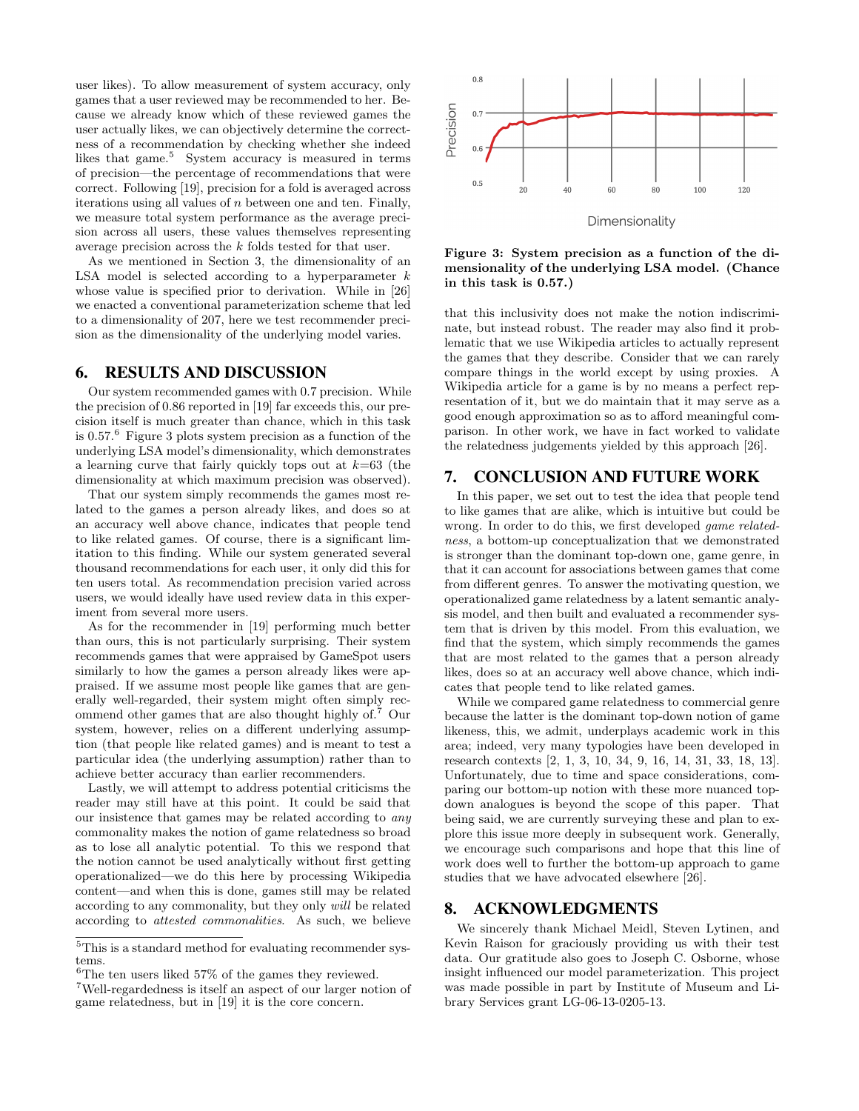user likes). To allow measurement of system accuracy, only games that a user reviewed may be recommended to her. Because we already know which of these reviewed games the user actually likes, we can objectively determine the correctness of a recommendation by checking whether she indeed likes that game.<sup>5</sup> System accuracy is measured in terms of precision—the percentage of recommendations that were correct. Following [19], precision for a fold is averaged across iterations using all values of  $n$  between one and ten. Finally, we measure total system performance as the average precision across all users, these values themselves representing average precision across the k folds tested for that user.

As we mentioned in Section 3, the dimensionality of an LSA model is selected according to a hyperparameter  $k$ whose value is specified prior to derivation. While in [26] we enacted a conventional parameterization scheme that led to a dimensionality of 207, here we test recommender precision as the dimensionality of the underlying model varies.

## 6. RESULTS AND DISCUSSION

Our system recommended games with 0.7 precision. While the precision of 0.86 reported in [19] far exceeds this, our precision itself is much greater than chance, which in this task is 0.57.<sup>6</sup> Figure 3 plots system precision as a function of the underlying LSA model's dimensionality, which demonstrates a learning curve that fairly quickly tops out at  $k=63$  (the dimensionality at which maximum precision was observed).

That our system simply recommends the games most related to the games a person already likes, and does so at an accuracy well above chance, indicates that people tend to like related games. Of course, there is a significant limitation to this finding. While our system generated several thousand recommendations for each user, it only did this for ten users total. As recommendation precision varied across users, we would ideally have used review data in this experiment from several more users.

As for the recommender in [19] performing much better than ours, this is not particularly surprising. Their system recommends games that were appraised by GameSpot users similarly to how the games a person already likes were appraised. If we assume most people like games that are generally well-regarded, their system might often simply recommend other games that are also thought highly of.<sup>7</sup> Our system, however, relies on a different underlying assumption (that people like related games) and is meant to test a particular idea (the underlying assumption) rather than to achieve better accuracy than earlier recommenders.

Lastly, we will attempt to address potential criticisms the reader may still have at this point. It could be said that our insistence that games may be related according to any commonality makes the notion of game relatedness so broad as to lose all analytic potential. To this we respond that the notion cannot be used analytically without first getting operationalized—we do this here by processing Wikipedia content—and when this is done, games still may be related according to any commonality, but they only will be related according to attested commonalities. As such, we believe



Figure 3: System precision as a function of the dimensionality of the underlying LSA model. (Chance in this task is 0.57.)

that this inclusivity does not make the notion indiscriminate, but instead robust. The reader may also find it problematic that we use Wikipedia articles to actually represent the games that they describe. Consider that we can rarely compare things in the world except by using proxies. A Wikipedia article for a game is by no means a perfect representation of it, but we do maintain that it may serve as a good enough approximation so as to afford meaningful comparison. In other work, we have in fact worked to validate the relatedness judgements yielded by this approach [26].

# 7. CONCLUSION AND FUTURE WORK

In this paper, we set out to test the idea that people tend to like games that are alike, which is intuitive but could be wrong. In order to do this, we first developed game relatedness, a bottom-up conceptualization that we demonstrated is stronger than the dominant top-down one, game genre, in that it can account for associations between games that come from different genres. To answer the motivating question, we operationalized game relatedness by a latent semantic analysis model, and then built and evaluated a recommender system that is driven by this model. From this evaluation, we find that the system, which simply recommends the games that are most related to the games that a person already likes, does so at an accuracy well above chance, which indicates that people tend to like related games.

While we compared game relatedness to commercial genre because the latter is the dominant top-down notion of game likeness, this, we admit, underplays academic work in this area; indeed, very many typologies have been developed in research contexts [2, 1, 3, 10, 34, 9, 16, 14, 31, 33, 18, 13]. Unfortunately, due to time and space considerations, comparing our bottom-up notion with these more nuanced topdown analogues is beyond the scope of this paper. That being said, we are currently surveying these and plan to explore this issue more deeply in subsequent work. Generally, we encourage such comparisons and hope that this line of work does well to further the bottom-up approach to game studies that we have advocated elsewhere [26].

## 8. ACKNOWLEDGMENTS

We sincerely thank Michael Meidl, Steven Lytinen, and Kevin Raison for graciously providing us with their test data. Our gratitude also goes to Joseph C. Osborne, whose insight influenced our model parameterization. This project was made possible in part by Institute of Museum and Library Services grant LG-06-13-0205-13.

 $^{5}\mathrm{This}$  is a standard method for evaluating recommender systems.

 ${}^{6}$ The ten users liked 57% of the games they reviewed.

<sup>7</sup>Well-regardedness is itself an aspect of our larger notion of game relatedness, but in [19] it is the core concern.